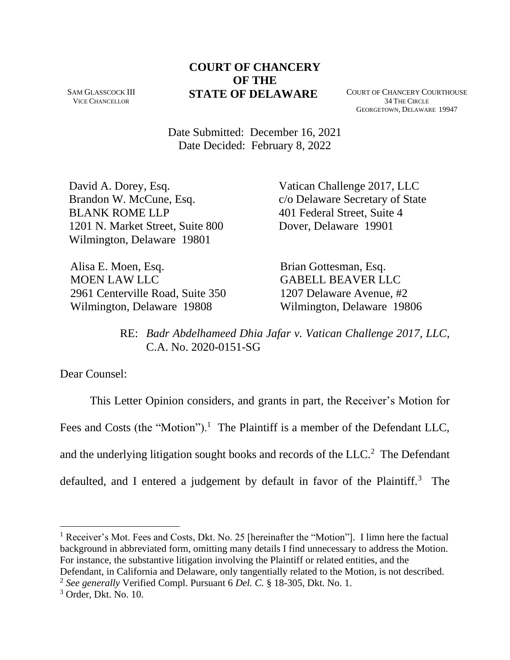## **COURT OF CHANCERY OF THE STATE OF DELAWARE** COURT OF CHANCERY COURTHOUSE

SAM GLASSCOCK III VICE CHANCELLOR

34 THE CIRCLE GEORGETOWN, DELAWARE 19947

Date Submitted: December 16, 2021 Date Decided: February 8, 2022

David A. Dorey, Esq. Brandon W. McCune, Esq. BLANK ROME LLP 1201 N. Market Street, Suite 800 Wilmington, Delaware 19801

Vatican Challenge 2017, LLC c/o Delaware Secretary of State 401 Federal Street, Suite 4 Dover, Delaware 19901

 Alisa E. Moen, Esq. MOEN LAW LLC 2961 Centerville Road, Suite 350 Wilmington, Delaware 19808

 Brian Gottesman, Esq. GABELL BEAVER LLC 1207 Delaware Avenue, #2 Wilmington, Delaware 19806

RE: *Badr Abdelhameed Dhia Jafar v. Vatican Challenge 2017, LLC*, C.A. No. 2020-0151-SG

Dear Counsel:

This Letter Opinion considers, and grants in part, the Receiver's Motion for Fees and Costs (the "Motion").<sup>1</sup> The Plaintiff is a member of the Defendant LLC, and the underlying litigation sought books and records of the  $LLC<sup>2</sup>$ . The Defendant defaulted, and I entered a judgement by default in favor of the Plaintiff.<sup>3</sup> The

<sup>1</sup> Receiver's Mot. Fees and Costs, Dkt. No. 25 [hereinafter the "Motion"]. I limn here the factual background in abbreviated form, omitting many details I find unnecessary to address the Motion. For instance, the substantive litigation involving the Plaintiff or related entities, and the Defendant, in California and Delaware, only tangentially related to the Motion, is not described.

2 *See generally* Verified Compl. Pursuant 6 *Del. C.* § 18-305, Dkt. No. 1.

 $3$  Order, Dkt. No. 10.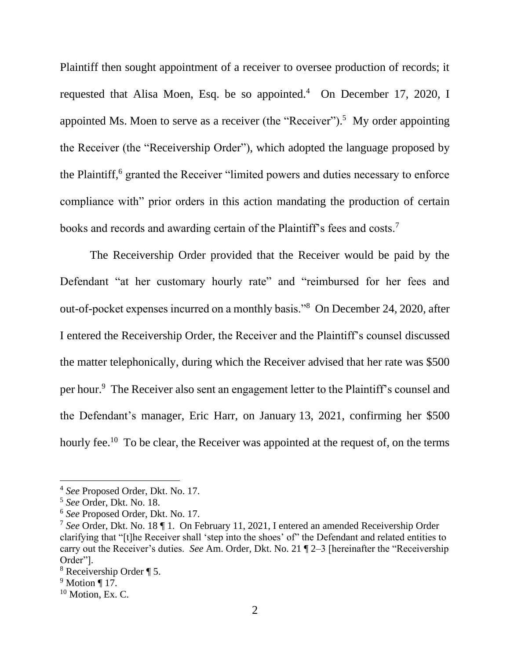Plaintiff then sought appointment of a receiver to oversee production of records; it requested that Alisa Moen, Esq. be so appointed.<sup>4</sup> On December 17, 2020, I appointed Ms. Moen to serve as a receiver (the "Receiver").<sup>5</sup> My order appointing the Receiver (the "Receivership Order"), which adopted the language proposed by the Plaintiff,<sup>6</sup> granted the Receiver "limited powers and duties necessary to enforce compliance with" prior orders in this action mandating the production of certain books and records and awarding certain of the Plaintiff's fees and costs.<sup>7</sup>

The Receivership Order provided that the Receiver would be paid by the Defendant "at her customary hourly rate" and "reimbursed for her fees and out-of-pocket expenses incurred on a monthly basis."<sup>8</sup> On December 24, 2020, after I entered the Receivership Order, the Receiver and the Plaintiff's counsel discussed the matter telephonically, during which the Receiver advised that her rate was \$500 per hour.<sup>9</sup> The Receiver also sent an engagement letter to the Plaintiff's counsel and the Defendant's manager, Eric Harr, on January 13, 2021, confirming her \$500 hourly fee.<sup>10</sup> To be clear, the Receiver was appointed at the request of, on the terms

<sup>4</sup> *See* Proposed Order, Dkt. No. 17.

<sup>5</sup> *See* Order, Dkt. No. 18.

<sup>6</sup> *See* Proposed Order, Dkt. No. 17.

<sup>7</sup> *See* Order, Dkt. No. 18 ¶ 1. On February 11, 2021, I entered an amended Receivership Order clarifying that "[t]he Receiver shall 'step into the shoes' of" the Defendant and related entities to carry out the Receiver's duties. *See* Am. Order, Dkt. No. 21 ¶ 2–3 [hereinafter the "Receivership Order"].

<sup>8</sup> Receivership Order ¶ 5.

 $9$  Motion ¶ 17.

 $10$  Motion, Ex. C.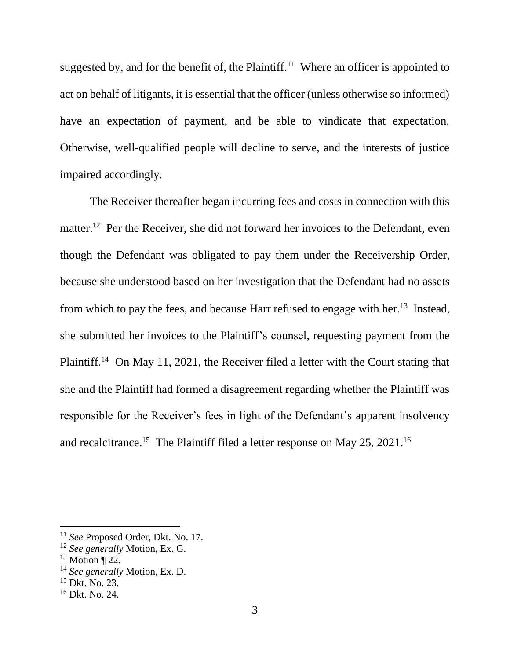suggested by, and for the benefit of, the Plaintiff.<sup>11</sup> Where an officer is appointed to act on behalf of litigants, it is essential that the officer (unless otherwise so informed) have an expectation of payment, and be able to vindicate that expectation. Otherwise, well-qualified people will decline to serve, and the interests of justice impaired accordingly.

The Receiver thereafter began incurring fees and costs in connection with this matter.<sup>12</sup> Per the Receiver, she did not forward her invoices to the Defendant, even though the Defendant was obligated to pay them under the Receivership Order, because she understood based on her investigation that the Defendant had no assets from which to pay the fees, and because Harr refused to engage with her.<sup>13</sup> Instead, she submitted her invoices to the Plaintiff's counsel, requesting payment from the Plaintiff.<sup>14</sup> On May 11, 2021, the Receiver filed a letter with the Court stating that she and the Plaintiff had formed a disagreement regarding whether the Plaintiff was responsible for the Receiver's fees in light of the Defendant's apparent insolvency and recalcitrance.<sup>15</sup> The Plaintiff filed a letter response on May 25, 2021.<sup>16</sup>

<sup>11</sup> *See* Proposed Order, Dkt. No. 17.

<sup>12</sup> *See generally* Motion, Ex. G.

 $13$  Motion ¶ 22.

<sup>14</sup> *See generally* Motion, Ex. D.

<sup>15</sup> Dkt. No. 23.

<sup>16</sup> Dkt. No. 24.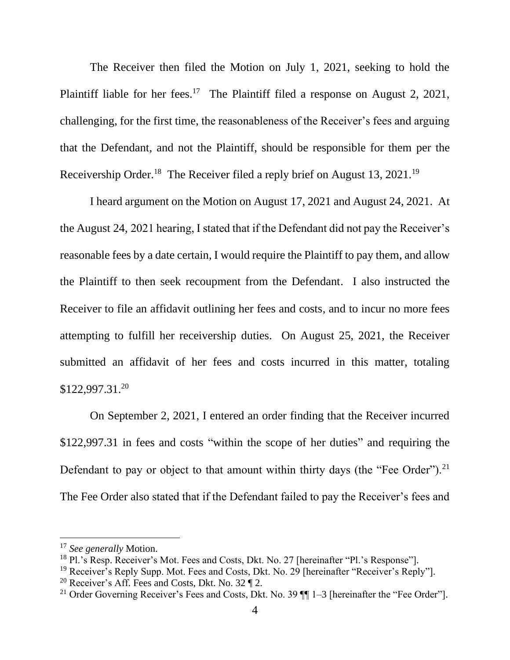The Receiver then filed the Motion on July 1, 2021, seeking to hold the Plaintiff liable for her fees.<sup>17</sup> The Plaintiff filed a response on August 2, 2021, challenging, for the first time, the reasonableness of the Receiver's fees and arguing that the Defendant, and not the Plaintiff, should be responsible for them per the Receivership Order.<sup>18</sup> The Receiver filed a reply brief on August 13, 2021.<sup>19</sup>

I heard argument on the Motion on August 17, 2021 and August 24, 2021. At the August 24, 2021 hearing, I stated that if the Defendant did not pay the Receiver's reasonable fees by a date certain, I would require the Plaintiff to pay them, and allow the Plaintiff to then seek recoupment from the Defendant. I also instructed the Receiver to file an affidavit outlining her fees and costs, and to incur no more fees attempting to fulfill her receivership duties. On August 25, 2021, the Receiver submitted an affidavit of her fees and costs incurred in this matter, totaling \$122,997.31.<sup>20</sup>

On September 2, 2021, I entered an order finding that the Receiver incurred \$122,997.31 in fees and costs "within the scope of her duties" and requiring the Defendant to pay or object to that amount within thirty days (the "Fee Order").<sup>21</sup> The Fee Order also stated that if the Defendant failed to pay the Receiver's fees and

<sup>17</sup> *See generally* Motion.

<sup>&</sup>lt;sup>18</sup> Pl.'s Resp. Receiver's Mot. Fees and Costs, Dkt. No. 27 [hereinafter "Pl.'s Response"].

<sup>&</sup>lt;sup>19</sup> Receiver's Reply Supp. Mot. Fees and Costs, Dkt. No. 29 [hereinafter "Receiver's Reply"]. <sup>20</sup> Receiver's Aff. Fees and Costs, Dkt. No. 32  $\P$  2.

<sup>&</sup>lt;sup>21</sup> Order Governing Receiver's Fees and Costs, Dkt. No. 39  $\P\P$  1–3 [hereinafter the "Fee Order"].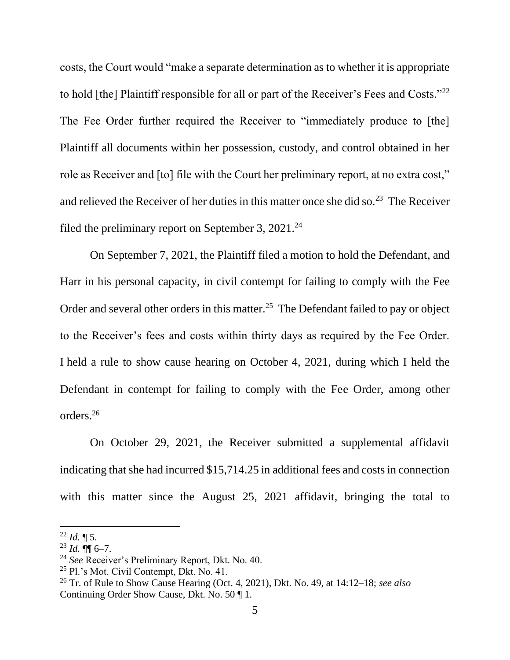costs, the Court would "make a separate determination as to whether it is appropriate to hold [the] Plaintiff responsible for all or part of the Receiver's Fees and Costs." $22$ The Fee Order further required the Receiver to "immediately produce to [the] Plaintiff all documents within her possession, custody, and control obtained in her role as Receiver and [to] file with the Court her preliminary report, at no extra cost," and relieved the Receiver of her duties in this matter once she did so.<sup>23</sup> The Receiver filed the preliminary report on September 3, 2021.<sup>24</sup>

On September 7, 2021, the Plaintiff filed a motion to hold the Defendant, and Harr in his personal capacity, in civil contempt for failing to comply with the Fee Order and several other orders in this matter.<sup>25</sup> The Defendant failed to pay or object to the Receiver's fees and costs within thirty days as required by the Fee Order. I held a rule to show cause hearing on October 4, 2021, during which I held the Defendant in contempt for failing to comply with the Fee Order, among other orders.<sup>26</sup>

On October 29, 2021, the Receiver submitted a supplemental affidavit indicating that she had incurred \$15,714.25 in additional fees and costs in connection with this matter since the August 25, 2021 affidavit, bringing the total to

 $^{22}$  *Id.* ¶ 5.

 $^{23}$  *Id.*  $\P\P$  6–7.

<sup>24</sup> *See* Receiver's Preliminary Report, Dkt. No. 40.

 $25$  Pl.'s Mot. Civil Contempt, Dkt. No. 41.

<sup>26</sup> Tr. of Rule to Show Cause Hearing (Oct. 4, 2021), Dkt. No. 49, at 14:12–18; *see also* Continuing Order Show Cause, Dkt. No. 50 ¶ 1.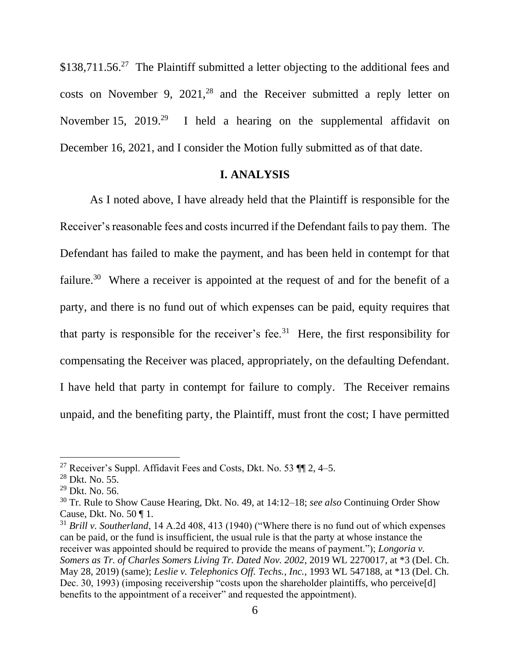$$138,711.56<sup>27</sup>$  The Plaintiff submitted a letter objecting to the additional fees and costs on November 9, 2021,<sup>28</sup> and the Receiver submitted a reply letter on November 15, 2019.<sup>29</sup> I held a hearing on the supplemental affidavit on December 16, 2021, and I consider the Motion fully submitted as of that date.

## **I. ANALYSIS**

As I noted above, I have already held that the Plaintiff is responsible for the Receiver's reasonable fees and costs incurred if the Defendant fails to pay them. The Defendant has failed to make the payment, and has been held in contempt for that failure.<sup>30</sup> Where a receiver is appointed at the request of and for the benefit of a party, and there is no fund out of which expenses can be paid, equity requires that that party is responsible for the receiver's fee.<sup>31</sup> Here, the first responsibility for compensating the Receiver was placed, appropriately, on the defaulting Defendant. I have held that party in contempt for failure to comply. The Receiver remains unpaid, and the benefiting party, the Plaintiff, must front the cost; I have permitted

<sup>&</sup>lt;sup>27</sup> Receiver's Suppl. Affidavit Fees and Costs, Dkt. No. 53  $\P$  12, 4–5.

<sup>28</sup> Dkt. No. 55.

 $29$  Dkt. No. 56.

<sup>30</sup> Tr. Rule to Show Cause Hearing, Dkt. No. 49, at 14:12–18; *see also* Continuing Order Show Cause, Dkt. No. 50 ¶ 1.

<sup>&</sup>lt;sup>31</sup> *Brill v. Southerland*, 14 A.2d 408, 413 (1940) ("Where there is no fund out of which expenses can be paid, or the fund is insufficient, the usual rule is that the party at whose instance the receiver was appointed should be required to provide the means of payment."); *Longoria v. Somers as Tr. of Charles Somers Living Tr. Dated Nov. 2002*, 2019 WL 2270017, at \*3 (Del. Ch. May 28, 2019) (same); *Leslie v. Telephonics Off. Techs., Inc.*, 1993 WL 547188, at \*13 (Del. Ch. Dec. 30, 1993) (imposing receivership "costs upon the shareholder plaintiffs, who perceive[d] benefits to the appointment of a receiver" and requested the appointment).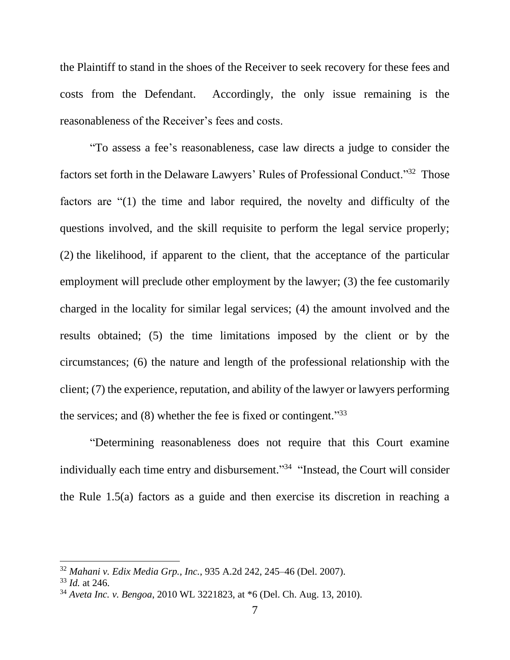the Plaintiff to stand in the shoes of the Receiver to seek recovery for these fees and costs from the Defendant. Accordingly, the only issue remaining is the reasonableness of the Receiver's fees and costs.

"To assess a fee's reasonableness, case law directs a judge to consider the factors set forth in the Delaware Lawyers' Rules of Professional Conduct."<sup>32</sup> Those factors are "(1) the time and labor required, the novelty and difficulty of the questions involved, and the skill requisite to perform the legal service properly; (2) the likelihood, if apparent to the client, that the acceptance of the particular employment will preclude other employment by the lawyer; (3) the fee customarily charged in the locality for similar legal services; (4) the amount involved and the results obtained; (5) the time limitations imposed by the client or by the circumstances; (6) the nature and length of the professional relationship with the client; (7) the experience, reputation, and ability of the lawyer or lawyers performing the services; and (8) whether the fee is fixed or contingent."33

"Determining reasonableness does not require that this Court examine individually each time entry and disbursement."<sup>34</sup> "Instead, the Court will consider the Rule 1.5(a) factors as a guide and then exercise its discretion in reaching a

<sup>32</sup> *Mahani v. Edix Media Grp., Inc.*, 935 A.2d 242, 245–46 (Del. 2007).

<sup>33</sup> *Id.* at 246.

<sup>34</sup> *Aveta Inc. v. Bengoa*, 2010 WL 3221823, at \*6 (Del. Ch. Aug. 13, 2010).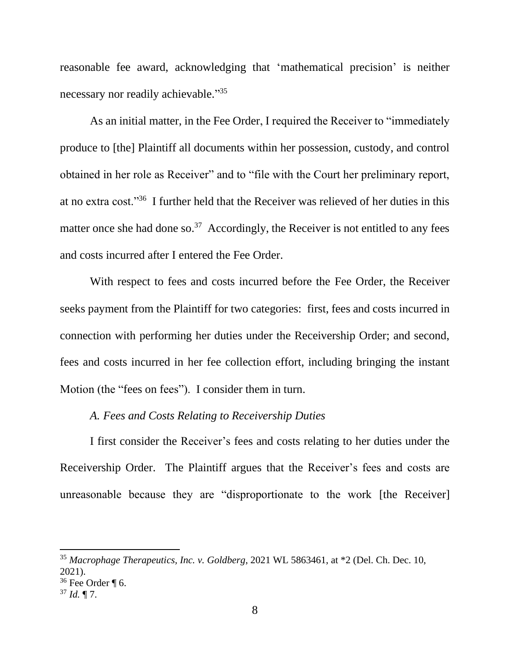reasonable fee award, acknowledging that 'mathematical precision' is neither necessary nor readily achievable."<sup>35</sup>

As an initial matter, in the Fee Order, I required the Receiver to "immediately produce to [the] Plaintiff all documents within her possession, custody, and control obtained in her role as Receiver" and to "file with the Court her preliminary report, at no extra cost."<sup>36</sup> I further held that the Receiver was relieved of her duties in this matter once she had done so.<sup>37</sup> Accordingly, the Receiver is not entitled to any fees and costs incurred after I entered the Fee Order.

With respect to fees and costs incurred before the Fee Order, the Receiver seeks payment from the Plaintiff for two categories: first, fees and costs incurred in connection with performing her duties under the Receivership Order; and second, fees and costs incurred in her fee collection effort, including bringing the instant Motion (the "fees on fees"). I consider them in turn.

## *A. Fees and Costs Relating to Receivership Duties*

I first consider the Receiver's fees and costs relating to her duties under the Receivership Order. The Plaintiff argues that the Receiver's fees and costs are unreasonable because they are "disproportionate to the work [the Receiver]

<sup>35</sup> *Macrophage Therapeutics, Inc. v. Goldberg*, 2021 WL 5863461, at \*2 (Del. Ch. Dec. 10, 2021).

 $36$  Fee Order ¶ 6.

 $37$  *Id.* 17.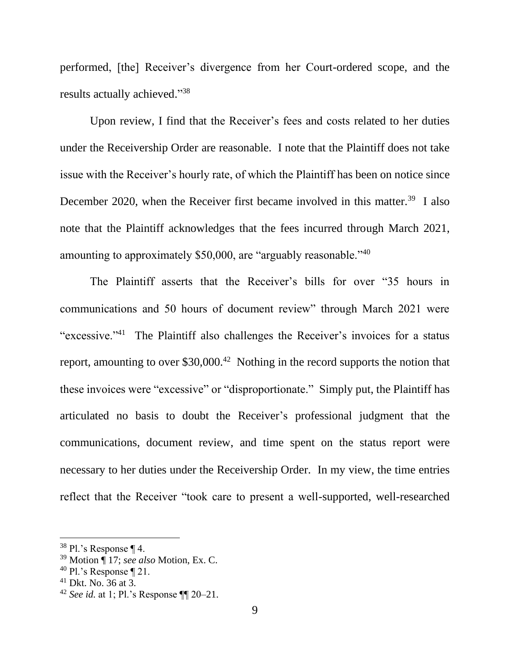performed, [the] Receiver's divergence from her Court-ordered scope, and the results actually achieved."38

Upon review, I find that the Receiver's fees and costs related to her duties under the Receivership Order are reasonable. I note that the Plaintiff does not take issue with the Receiver's hourly rate, of which the Plaintiff has been on notice since December 2020, when the Receiver first became involved in this matter.<sup>39</sup> I also note that the Plaintiff acknowledges that the fees incurred through March 2021, amounting to approximately \$50,000, are "arguably reasonable."<sup>40</sup>

The Plaintiff asserts that the Receiver's bills for over "35 hours in communications and 50 hours of document review" through March 2021 were "excessive."<sup>41</sup> The Plaintiff also challenges the Receiver's invoices for a status report, amounting to over  $$30,000<sup>42</sup>$  Nothing in the record supports the notion that these invoices were "excessive" or "disproportionate." Simply put, the Plaintiff has articulated no basis to doubt the Receiver's professional judgment that the communications, document review, and time spent on the status report were necessary to her duties under the Receivership Order. In my view, the time entries reflect that the Receiver "took care to present a well-supported, well-researched

 $38$  Pl.'s Response ¶ 4.

<sup>39</sup> Motion ¶ 17; *see also* Motion, Ex. C.

 $40$  Pl.'s Response  $\P$  21.

 $41$  Dkt. No. 36 at 3.

<sup>42</sup> *See id.* at 1; Pl.'s Response ¶¶ 20–21.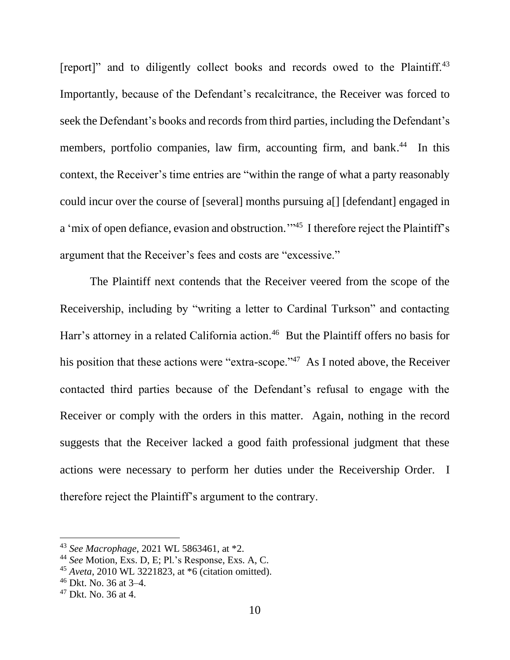[report]" and to diligently collect books and records owed to the Plaintiff.<sup>43</sup> Importantly, because of the Defendant's recalcitrance, the Receiver was forced to seek the Defendant's books and records from third parties, including the Defendant's members, portfolio companies, law firm, accounting firm, and bank.<sup>44</sup> In this context, the Receiver's time entries are "within the range of what a party reasonably could incur over the course of [several] months pursuing a[] [defendant] engaged in a 'mix of open defiance, evasion and obstruction."<sup>45</sup> I therefore reject the Plaintiff's argument that the Receiver's fees and costs are "excessive."

The Plaintiff next contends that the Receiver veered from the scope of the Receivership, including by "writing a letter to Cardinal Turkson" and contacting Harr's attorney in a related California action.<sup>46</sup> But the Plaintiff offers no basis for his position that these actions were "extra-scope."<sup>47</sup> As I noted above, the Receiver contacted third parties because of the Defendant's refusal to engage with the Receiver or comply with the orders in this matter. Again, nothing in the record suggests that the Receiver lacked a good faith professional judgment that these actions were necessary to perform her duties under the Receivership Order. I therefore reject the Plaintiff's argument to the contrary.

<sup>43</sup> *See Macrophage*, 2021 WL 5863461, at \*2.

<sup>44</sup> *See* Motion, Exs. D, E; Pl.'s Response, Exs. A, C.

<sup>45</sup> *Aveta*, 2010 WL 3221823, at \*6 (citation omitted).

<sup>46</sup> Dkt. No. 36 at 3–4.

 $47$  Dkt. No. 36 at 4.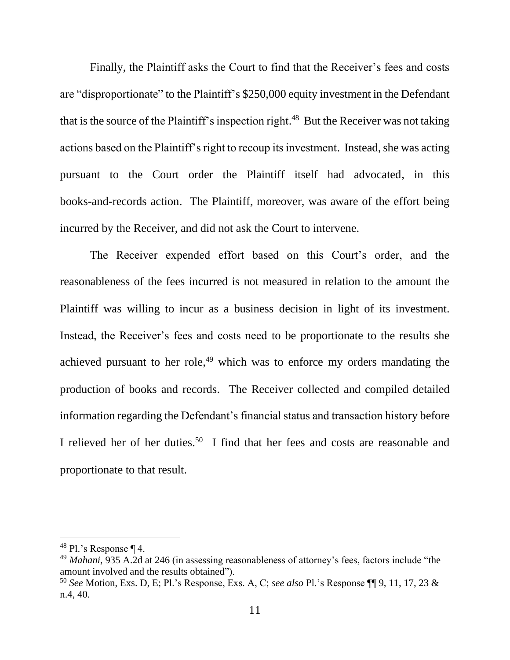Finally, the Plaintiff asks the Court to find that the Receiver's fees and costs are "disproportionate" to the Plaintiff's \$250,000 equity investment in the Defendant that is the source of the Plaintiff's inspection right.<sup>48</sup> But the Receiver was not taking actions based on the Plaintiff's right to recoup its investment. Instead, she was acting pursuant to the Court order the Plaintiff itself had advocated, in this books-and-records action. The Plaintiff, moreover, was aware of the effort being incurred by the Receiver, and did not ask the Court to intervene.

The Receiver expended effort based on this Court's order, and the reasonableness of the fees incurred is not measured in relation to the amount the Plaintiff was willing to incur as a business decision in light of its investment. Instead, the Receiver's fees and costs need to be proportionate to the results she achieved pursuant to her role, <sup>49</sup> which was to enforce my orders mandating the production of books and records. The Receiver collected and compiled detailed information regarding the Defendant's financial status and transaction history before I relieved her of her duties.<sup>50</sup> I find that her fees and costs are reasonable and proportionate to that result.

 $48$  Pl.'s Response ¶ 4.

<sup>49</sup> *Mahani*, 935 A.2d at 246 (in assessing reasonableness of attorney's fees, factors include "the amount involved and the results obtained").

<sup>50</sup> *See* Motion, Exs. D, E; Pl.'s Response, Exs. A, C; *see also* Pl.'s Response ¶¶ 9, 11, 17, 23 & n.4, 40.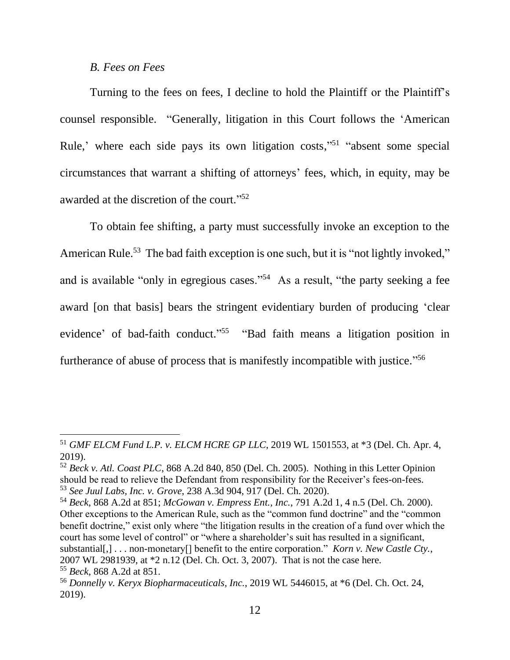## *B. Fees on Fees*

Turning to the fees on fees, I decline to hold the Plaintiff or the Plaintiff's counsel responsible. "Generally, litigation in this Court follows the 'American Rule,' where each side pays its own litigation costs,"<sup>51</sup> "absent some special circumstances that warrant a shifting of attorneys' fees, which, in equity, may be awarded at the discretion of the court."<sup>52</sup>

To obtain fee shifting, a party must successfully invoke an exception to the American Rule.<sup>53</sup> The bad faith exception is one such, but it is "not lightly invoked," and is available "only in egregious cases."<sup>54</sup> As a result, "the party seeking a fee award [on that basis] bears the stringent evidentiary burden of producing 'clear evidence' of bad-faith conduct."<sup>55</sup> "Bad faith means a litigation position in furtherance of abuse of process that is manifestly incompatible with justice." 56

<sup>51</sup> *GMF ELCM Fund L.P. v. ELCM HCRE GP LLC*, 2019 WL 1501553, at \*3 (Del. Ch. Apr. 4, 2019).

<sup>52</sup> *Beck v. Atl. Coast PLC*, 868 A.2d 840, 850 (Del. Ch. 2005). Nothing in this Letter Opinion should be read to relieve the Defendant from responsibility for the Receiver's fees-on-fees. <sup>53</sup> *See Juul Labs, Inc. v. Grove*, 238 A.3d 904, 917 (Del. Ch. 2020).

<sup>54</sup> *Beck*, 868 A.2d at 851; *McGowan v. Empress Ent., Inc.*, 791 A.2d 1, 4 n.5 (Del. Ch. 2000). Other exceptions to the American Rule, such as the "common fund doctrine" and the "common benefit doctrine," exist only where "the litigation results in the creation of a fund over which the court has some level of control" or "where a shareholder's suit has resulted in a significant, substantial[,] . . . non-monetary[] benefit to the entire corporation." *Korn v. New Castle Cty.*, 2007 WL 2981939, at \*2 n.12 (Del. Ch. Oct. 3, 2007). That is not the case here. <sup>55</sup> *Beck*, 868 A.2d at 851.

<sup>56</sup> *Donnelly v. Keryx Biopharmaceuticals, Inc.*, 2019 WL 5446015, at \*6 (Del. Ch. Oct. 24, 2019).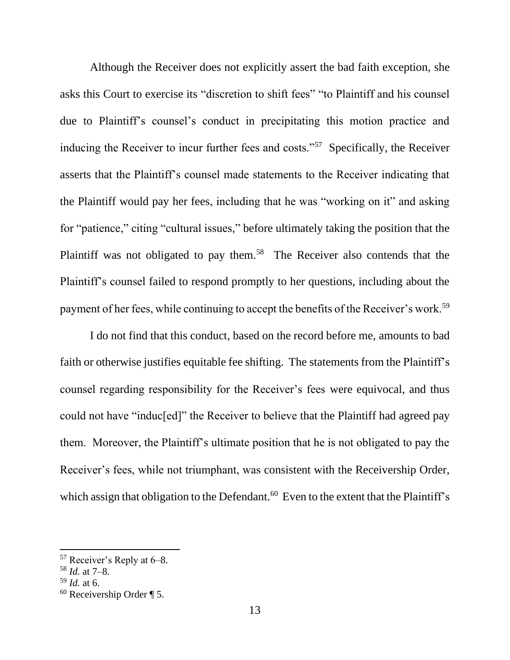Although the Receiver does not explicitly assert the bad faith exception, she asks this Court to exercise its "discretion to shift fees" "to Plaintiff and his counsel due to Plaintiff's counsel's conduct in precipitating this motion practice and inducing the Receiver to incur further fees and costs."<sup>57</sup> Specifically, the Receiver asserts that the Plaintiff's counsel made statements to the Receiver indicating that the Plaintiff would pay her fees, including that he was "working on it" and asking for "patience," citing "cultural issues," before ultimately taking the position that the Plaintiff was not obligated to pay them.<sup>58</sup> The Receiver also contends that the Plaintiff's counsel failed to respond promptly to her questions, including about the payment of her fees, while continuing to accept the benefits of the Receiver's work.<sup>59</sup>

I do not find that this conduct, based on the record before me, amounts to bad faith or otherwise justifies equitable fee shifting. The statements from the Plaintiff's counsel regarding responsibility for the Receiver's fees were equivocal, and thus could not have "induc[ed]" the Receiver to believe that the Plaintiff had agreed pay them. Moreover, the Plaintiff's ultimate position that he is not obligated to pay the Receiver's fees, while not triumphant, was consistent with the Receivership Order, which assign that obligation to the Defendant.<sup>60</sup> Even to the extent that the Plaintiff's

<sup>57</sup> Receiver's Reply at 6–8.

<sup>58</sup> *Id.* at 7–8.

<sup>59</sup> *Id.* at 6.

 $60$  Receivership Order ¶ 5.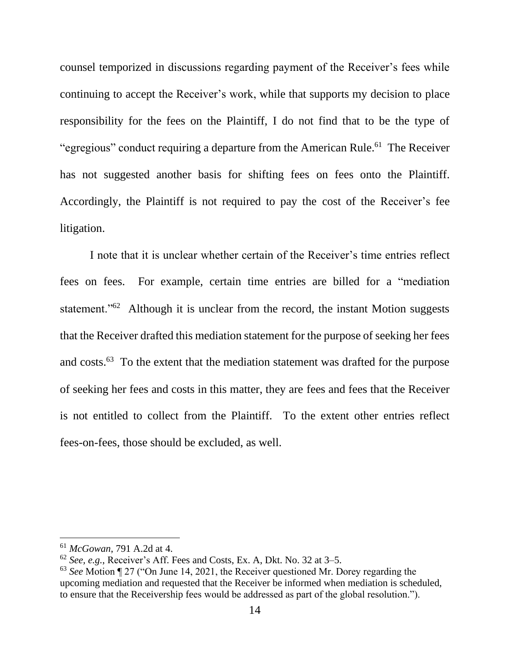counsel temporized in discussions regarding payment of the Receiver's fees while continuing to accept the Receiver's work, while that supports my decision to place responsibility for the fees on the Plaintiff, I do not find that to be the type of "egregious" conduct requiring a departure from the American Rule.<sup>61</sup> The Receiver has not suggested another basis for shifting fees on fees onto the Plaintiff. Accordingly, the Plaintiff is not required to pay the cost of the Receiver's fee litigation.

I note that it is unclear whether certain of the Receiver's time entries reflect fees on fees. For example, certain time entries are billed for a "mediation statement."<sup>62</sup> Although it is unclear from the record, the instant Motion suggests that the Receiver drafted this mediation statement for the purpose of seeking her fees and costs.<sup>63</sup> To the extent that the mediation statement was drafted for the purpose of seeking her fees and costs in this matter, they are fees and fees that the Receiver is not entitled to collect from the Plaintiff. To the extent other entries reflect fees-on-fees, those should be excluded, as well.

<sup>61</sup> *McGowan*, 791 A.2d at 4.

<sup>62</sup> *See, e.g.*, Receiver's Aff. Fees and Costs, Ex. A, Dkt. No. 32 at 3–5.

<sup>63</sup> *See* Motion ¶ 27 ("On June 14, 2021, the Receiver questioned Mr. Dorey regarding the upcoming mediation and requested that the Receiver be informed when mediation is scheduled, to ensure that the Receivership fees would be addressed as part of the global resolution.").